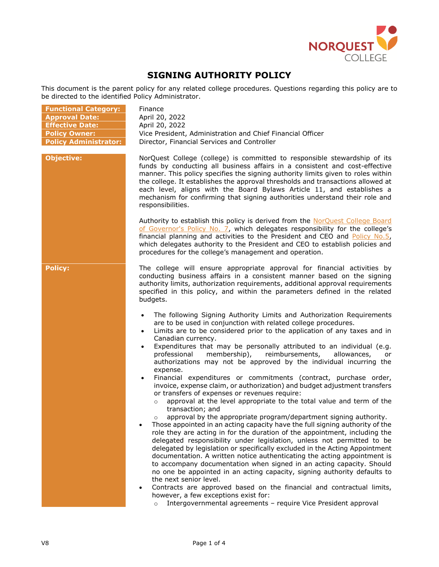

# **SIGNING AUTHORITY POLICY**

This document is the parent policy for any related college procedures. Questions regarding this policy are to be directed to the identified Policy Administrator.

| <b>Functional Category:</b>  | Finance                                                                                                                                                                                                                                                                                                                                                                                                                                                                                                                                                                                                                                                                                                                                                                                                                                                                                                                                                                                                                                                                                                                                                                                                                                                                                                                                                                                                                                                                                                                                                                                                                                                                                                  |
|------------------------------|----------------------------------------------------------------------------------------------------------------------------------------------------------------------------------------------------------------------------------------------------------------------------------------------------------------------------------------------------------------------------------------------------------------------------------------------------------------------------------------------------------------------------------------------------------------------------------------------------------------------------------------------------------------------------------------------------------------------------------------------------------------------------------------------------------------------------------------------------------------------------------------------------------------------------------------------------------------------------------------------------------------------------------------------------------------------------------------------------------------------------------------------------------------------------------------------------------------------------------------------------------------------------------------------------------------------------------------------------------------------------------------------------------------------------------------------------------------------------------------------------------------------------------------------------------------------------------------------------------------------------------------------------------------------------------------------------------|
| <b>Approval Date:</b>        | April 20, 2022                                                                                                                                                                                                                                                                                                                                                                                                                                                                                                                                                                                                                                                                                                                                                                                                                                                                                                                                                                                                                                                                                                                                                                                                                                                                                                                                                                                                                                                                                                                                                                                                                                                                                           |
| <b>Effective Date:</b>       | April 20, 2022                                                                                                                                                                                                                                                                                                                                                                                                                                                                                                                                                                                                                                                                                                                                                                                                                                                                                                                                                                                                                                                                                                                                                                                                                                                                                                                                                                                                                                                                                                                                                                                                                                                                                           |
| <b>Policy Owner:</b>         | Vice President, Administration and Chief Financial Officer                                                                                                                                                                                                                                                                                                                                                                                                                                                                                                                                                                                                                                                                                                                                                                                                                                                                                                                                                                                                                                                                                                                                                                                                                                                                                                                                                                                                                                                                                                                                                                                                                                               |
| <b>Policy Administrator:</b> | Director, Financial Services and Controller                                                                                                                                                                                                                                                                                                                                                                                                                                                                                                                                                                                                                                                                                                                                                                                                                                                                                                                                                                                                                                                                                                                                                                                                                                                                                                                                                                                                                                                                                                                                                                                                                                                              |
| <b>Objective:</b>            | NorQuest College (college) is committed to responsible stewardship of its<br>funds by conducting all business affairs in a consistent and cost-effective<br>manner. This policy specifies the signing authority limits given to roles within<br>the college. It establishes the approval thresholds and transactions allowed at<br>each level, aligns with the Board Bylaws Article 11, and establishes a<br>mechanism for confirming that signing authorities understand their role and<br>responsibilities.                                                                                                                                                                                                                                                                                                                                                                                                                                                                                                                                                                                                                                                                                                                                                                                                                                                                                                                                                                                                                                                                                                                                                                                            |
|                              | Authority to establish this policy is derived from the NorQuest College Board<br>of Governor's Policy No. 7, which delegates responsibility for the college's<br>financial planning and activities to the President and CEO and Policy No.5,<br>which delegates authority to the President and CEO to establish policies and<br>procedures for the college's management and operation.                                                                                                                                                                                                                                                                                                                                                                                                                                                                                                                                                                                                                                                                                                                                                                                                                                                                                                                                                                                                                                                                                                                                                                                                                                                                                                                   |
| <b>Policy:</b>               | The college will ensure appropriate approval for financial activities by<br>conducting business affairs in a consistent manner based on the signing<br>authority limits, authorization requirements, additional approval requirements<br>specified in this policy, and within the parameters defined in the related<br>budgets.                                                                                                                                                                                                                                                                                                                                                                                                                                                                                                                                                                                                                                                                                                                                                                                                                                                                                                                                                                                                                                                                                                                                                                                                                                                                                                                                                                          |
|                              | The following Signing Authority Limits and Authorization Requirements<br>$\bullet$<br>are to be used in conjunction with related college procedures.<br>Limits are to be considered prior to the application of any taxes and in<br>$\bullet$<br>Canadian currency.<br>Expenditures that may be personally attributed to an individual (e.g.<br>$\bullet$<br>professional<br>membership),<br>reimbursements,<br>allowances,<br>or<br>authorizations may not be approved by the individual incurring the<br>expense.<br>Financial expenditures or commitments (contract, purchase order,<br>$\bullet$<br>invoice, expense claim, or authorization) and budget adjustment transfers<br>or transfers of expenses or revenues require:<br>approval at the level appropriate to the total value and term of the<br>$\circ$<br>transaction; and<br>approval by the appropriate program/department signing authority.<br>$\circ$<br>Those appointed in an acting capacity have the full signing authority of the<br>role they are acting in for the duration of the appointment, including the<br>delegated responsibility under legislation, unless not permitted to be<br>delegated by legislation or specifically excluded in the Acting Appointment<br>documentation. A written notice authenticating the acting appointment is<br>to accompany documentation when signed in an acting capacity. Should<br>no one be appointed in an acting capacity, signing authority defaults to<br>the next senior level.<br>Contracts are approved based on the financial and contractual limits,<br>however, a few exceptions exist for:<br>Intergovernmental agreements - require Vice President approval<br>$\circ$ |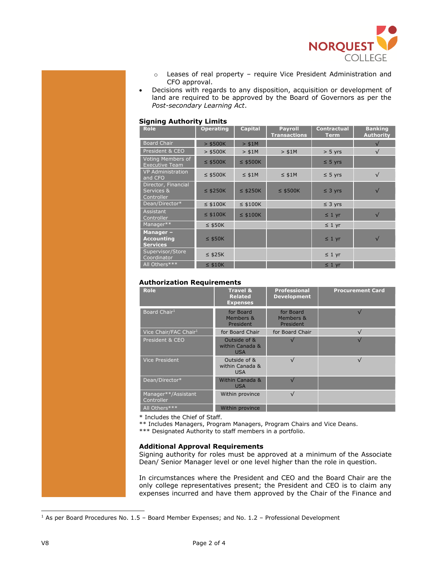

- o Leases of real property require Vice President Administration and CFO approval.
- Decisions with regards to any disposition, acquisition or development of land are required to be approved by the Board of Governors as per the *Post-secondary Learning Act*.

#### **Signing Authority Limits**

| <b>Role</b>                                      | <b>Operating</b> | <b>Capital</b> | <b>Payroll</b><br><b>Transactions</b> | <b>Contractual</b><br><b>Term</b> | <b>Banking</b><br><b>Authority</b> |
|--------------------------------------------------|------------------|----------------|---------------------------------------|-----------------------------------|------------------------------------|
| <b>Board Chair</b>                               | $>$ \$500K       | > \$1M         |                                       |                                   |                                    |
| President & CEO                                  | $>$ \$500K       | > \$1M         | > \$1M                                | $> 5$ yrs                         | $\sqrt{}$                          |
| Voting Members of<br><b>Executive Team</b>       | $\leq$ \$500K    | $\leq$ \$500K  |                                       | $\leq$ 5 yrs                      |                                    |
| <b>VP Administration</b><br>and CFO              | $\leq$ \$500K    | $\leq$ \$1M    | $\leq$ \$1M                           | $\leq$ 5 yrs                      | $\sqrt{}$                          |
| Director, Financial<br>Services &<br>Controller  | $\leq$ \$250K    | $\leq$ \$250K  | $\leq$ \$500K                         | $\leq$ 3 yrs                      | $\sqrt{}$                          |
| Dean/Director*                                   | $\leq$ \$100K    | $\leq$ \$100K  |                                       | $\leq$ 3 yrs                      |                                    |
| Assistant<br>Controller                          | $\leq$ \$100K    | $\leq$ \$100K  |                                       | $\leq 1$ yr                       | $\sqrt{}$                          |
| Manager**                                        | $\leq$ \$50K     |                |                                       | $\leq 1$ yr                       |                                    |
| Manager-<br><b>Accounting</b><br><b>Services</b> | $\leq$ \$50K     |                |                                       | $\leq 1$ yr                       | $\sqrt{}$                          |
| Supervisor/Store<br>Coordinator                  | $\leq$ \$25K     |                |                                       | $\leq 1$ yr                       |                                    |
| All Others***                                    | $\leq$ \$10K     |                |                                       | $\leq 1$ yr                       |                                    |

## **Authorization Requirements**

<span id="page-1-0"></span>

| <b>Role</b>                       | <b>Travel &amp;</b><br><b>Related</b><br><b>Expenses</b> | <b>Professional</b><br><b>Development</b> | <b>Procurement Card</b> |
|-----------------------------------|----------------------------------------------------------|-------------------------------------------|-------------------------|
| Board Chair <sup>1</sup>          | for Board<br>Members &<br>President                      | for Board<br>Members &<br>President       |                         |
| Vice Chair/FAC Chair <sup>1</sup> | for Board Chair                                          | for Board Chair                           | $\sqrt{ }$              |
| President & CEO                   | Outside of &<br>within Canada &<br><b>USA</b>            |                                           |                         |
| <b>Vice President</b>             | Outside of &<br>within Canada &<br><b>USA</b>            | $\sqrt{}$                                 | $\sqrt{ }$              |
| Dean/Director*                    | Within Canada &<br><b>USA</b>                            |                                           |                         |
| Manager**/Assistant<br>Controller | Within province                                          | $\sqrt{}$                                 |                         |
| All Others***                     | Within province                                          |                                           |                         |

\* Includes the Chief of Staff.

\*\* Includes Managers, Program Managers, Program Chairs and Vice Deans.

\*\*\* Designated Authority to staff members in a portfolio.

### **Additional Approval Requirements**

Signing authority for roles must be approved at a minimum of the Associate Dean/ Senior Manager level or one level higher than the role in question.

In circumstances where the President and CEO and the Board Chair are the only college representatives present; the President and CEO is to claim any expenses incurred and have them approved by the Chair of the Finance and

ı

 $1$  As per Board Procedures No. 1.5 – Board Member Expenses; and No. 1.2 – Professional Development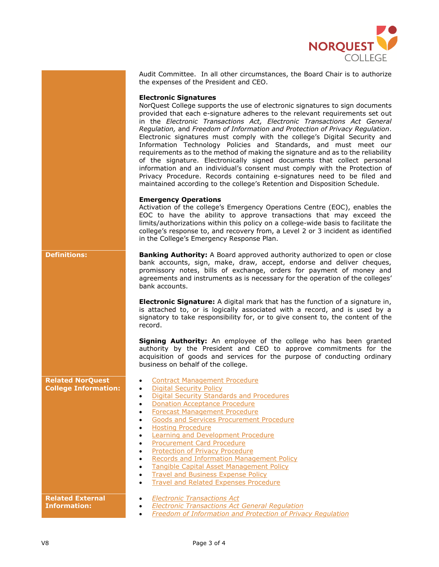

|                                                        | Audit Committee. In all other circumstances, the Board Chair is to authorize<br>the expenses of the President and CEO.                                                                                                                                                                                                                                                                                                                                                                                                                                                                                                                                                                                                                                                                                                                                                                                      |
|--------------------------------------------------------|-------------------------------------------------------------------------------------------------------------------------------------------------------------------------------------------------------------------------------------------------------------------------------------------------------------------------------------------------------------------------------------------------------------------------------------------------------------------------------------------------------------------------------------------------------------------------------------------------------------------------------------------------------------------------------------------------------------------------------------------------------------------------------------------------------------------------------------------------------------------------------------------------------------|
|                                                        | <b>Electronic Signatures</b><br>NorQuest College supports the use of electronic signatures to sign documents<br>provided that each e-signature adheres to the relevant requirements set out<br>in the Electronic Transactions Act, Electronic Transactions Act General<br>Regulation, and Freedom of Information and Protection of Privacy Regulation.<br>Electronic signatures must comply with the college's Digital Security and<br>Information Technology Policies and Standards, and must meet our<br>requirements as to the method of making the signature and as to the reliability<br>of the signature. Electronically signed documents that collect personal<br>information and an individual's consent must comply with the Protection of<br>Privacy Procedure. Records containing e-signatures need to be filed and<br>maintained according to the college's Retention and Disposition Schedule. |
|                                                        | <b>Emergency Operations</b><br>Activation of the college's Emergency Operations Centre (EOC), enables the<br>EOC to have the ability to approve transactions that may exceed the<br>limits/authorizations within this policy on a college-wide basis to facilitate the<br>college's response to, and recovery from, a Level 2 or 3 incident as identified<br>in the College's Emergency Response Plan.                                                                                                                                                                                                                                                                                                                                                                                                                                                                                                      |
| <b>Definitions:</b>                                    | <b>Banking Authority:</b> A Board approved authority authorized to open or close<br>bank accounts, sign, make, draw, accept, endorse and deliver cheques,<br>promissory notes, bills of exchange, orders for payment of money and<br>agreements and instruments as is necessary for the operation of the colleges'<br>bank accounts.                                                                                                                                                                                                                                                                                                                                                                                                                                                                                                                                                                        |
|                                                        | <b>Electronic Signature:</b> A digital mark that has the function of a signature in,<br>is attached to, or is logically associated with a record, and is used by a<br>signatory to take responsibility for, or to give consent to, the content of the<br>record.                                                                                                                                                                                                                                                                                                                                                                                                                                                                                                                                                                                                                                            |
|                                                        | Signing Authority: An employee of the college who has been granted<br>authority by the President and CEO to approve commitments for the<br>acquisition of goods and services for the purpose of conducting ordinary<br>business on behalf of the college.                                                                                                                                                                                                                                                                                                                                                                                                                                                                                                                                                                                                                                                   |
| <b>Related NorQuest</b><br><b>College Information:</b> | <b>Contract Management Procedure</b><br><b>Digital Security Policy</b><br><b>Digital Security Standards and Procedures</b><br>$\bullet$<br><b>Donation Acceptance Procedure</b><br><b>Forecast Management Procedure</b><br>$\bullet$<br>Goods and Services Procurement Procedure<br><b>Hosting Procedure</b><br><b>Learning and Development Procedure</b><br><b>Procurement Card Procedure</b><br>$\bullet$<br>Protection of Privacy Procedure<br>Records and Information Management Policy<br>Tangible Capital Asset Management Policy<br>٠<br><b>Travel and Business Expense Policy</b><br><b>Travel and Related Expenses Procedure</b><br>$\bullet$                                                                                                                                                                                                                                                      |
| <b>Related External</b><br><b>Information:</b>         | <b>Electronic Transactions Act</b><br><b>Electronic Transactions Act General Requlation</b><br><b>Freedom of Information and Protection of Privacy Regulation</b><br>$\bullet$                                                                                                                                                                                                                                                                                                                                                                                                                                                                                                                                                                                                                                                                                                                              |